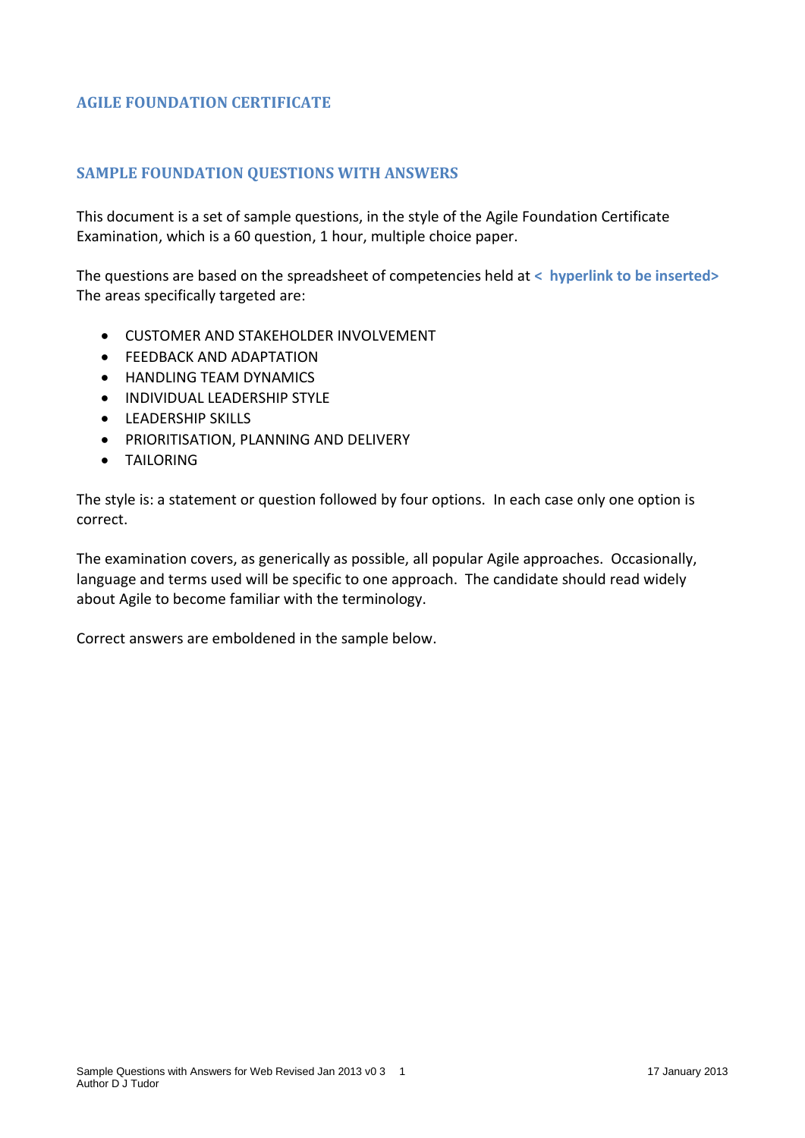## **AGILE FOUNDATION CERTIFICATE**

## **SAMPLE FOUNDATION QUESTIONS WITH ANSWERS**

This document is a set of sample questions, in the style of the Agile Foundation Certificate Examination, which is a 60 question, 1 hour, multiple choice paper.

The questions are based on the spreadsheet of competencies held at **< hyperlink to be inserted>** The areas specifically targeted are:

- CUSTOMER AND STAKEHOLDER INVOLVEMENT
- **FEEDBACK AND ADAPTATION**
- **HANDLING TFAM DYNAMICS**
- **INDIVIDUAL LEADERSHIP STYLE**
- **•** LEADERSHIP SKILLS
- **PRIORITISATION, PLANNING AND DELIVERY**
- **TAILORING**

The style is: a statement or question followed by four options. In each case only one option is correct.

The examination covers, as generically as possible, all popular Agile approaches. Occasionally, language and terms used will be specific to one approach. The candidate should read widely about Agile to become familiar with the terminology.

Correct answers are emboldened in the sample below.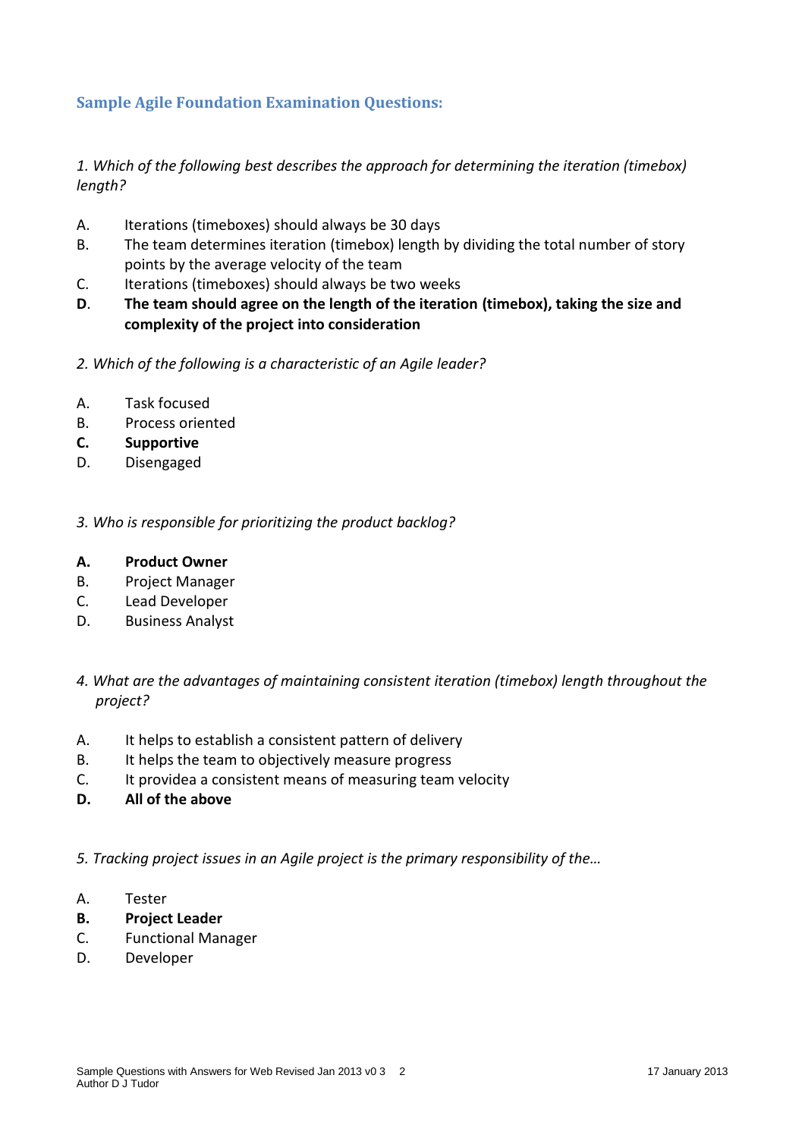# **Sample Agile Foundation Examination Questions:**

*1. Which of the following best describes the approach for determining the iteration (timebox) length?*

- A. Iterations (timeboxes) should always be 30 days
- B. The team determines iteration (timebox) length by dividing the total number of story points by the average velocity of the team
- C. Iterations (timeboxes) should always be two weeks
- **D**. **The team should agree on the length of the iteration (timebox), taking the size and complexity of the project into consideration**
- *2. Which of the following is a characteristic of an Agile leader?*
- A. Task focused
- B. Process oriented
- **C. Supportive**
- D. Disengaged

*3. Who is responsible for prioritizing the product backlog?*

#### **A. Product Owner**

- B. Project Manager
- C. Lead Developer
- D. Business Analyst
- *4. What are the advantages of maintaining consistent iteration (timebox) length throughout the project?*
- A. It helps to establish a consistent pattern of delivery
- B. It helps the team to objectively measure progress
- C. It providea a consistent means of measuring team velocity
- **D. All of the above**

*5. Tracking project issues in an Agile project is the primary responsibility of the…*

- A. Tester
- **B. Project Leader**
- C. Functional Manager
- D. Developer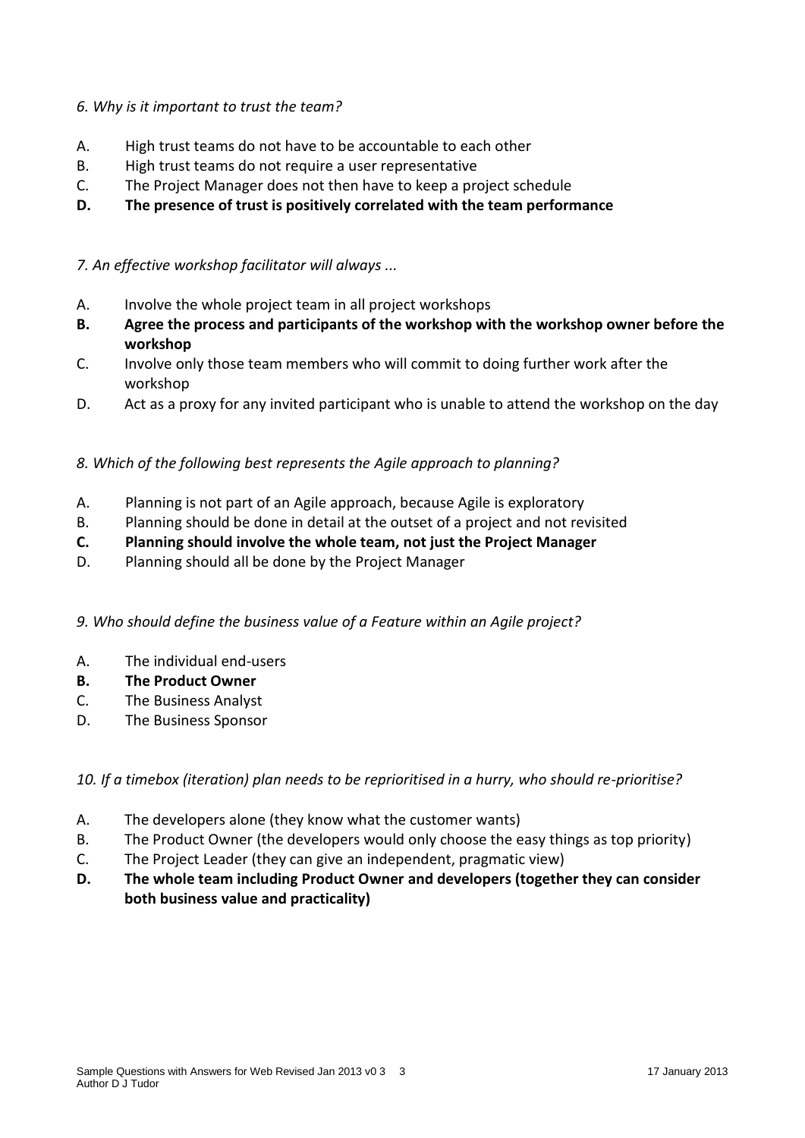## *6. Why is it important to trust the team?*

- A. High trust teams do not have to be accountable to each other
- B. High trust teams do not require a user representative
- C. The Project Manager does not then have to keep a project schedule
- **D. The presence of trust is positively correlated with the team performance**

### *7. An effective workshop facilitator will always ...*

- A. Involve the whole project team in all project workshops
- **B. Agree the process and participants of the workshop with the workshop owner before the workshop**
- C. Involve only those team members who will commit to doing further work after the workshop
- D. Act as a proxy for any invited participant who is unable to attend the workshop on the day

## *8. Which of the following best represents the Agile approach to planning?*

- A. Planning is not part of an Agile approach, because Agile is exploratory
- B. Planning should be done in detail at the outset of a project and not revisited
- **C. Planning should involve the whole team, not just the Project Manager**
- D. Planning should all be done by the Project Manager
- *9. Who should define the business value of a Feature within an Agile project?*
- A. The individual end-users
- **B. The Product Owner**
- C. The Business Analyst
- D. The Business Sponsor

#### *10. If a timebox (iteration) plan needs to be reprioritised in a hurry, who should re-prioritise?*

- A. The developers alone (they know what the customer wants)
- B. The Product Owner (the developers would only choose the easy things as top priority)
- C. The Project Leader (they can give an independent, pragmatic view)
- **D. The whole team including Product Owner and developers (together they can consider both business value and practicality)**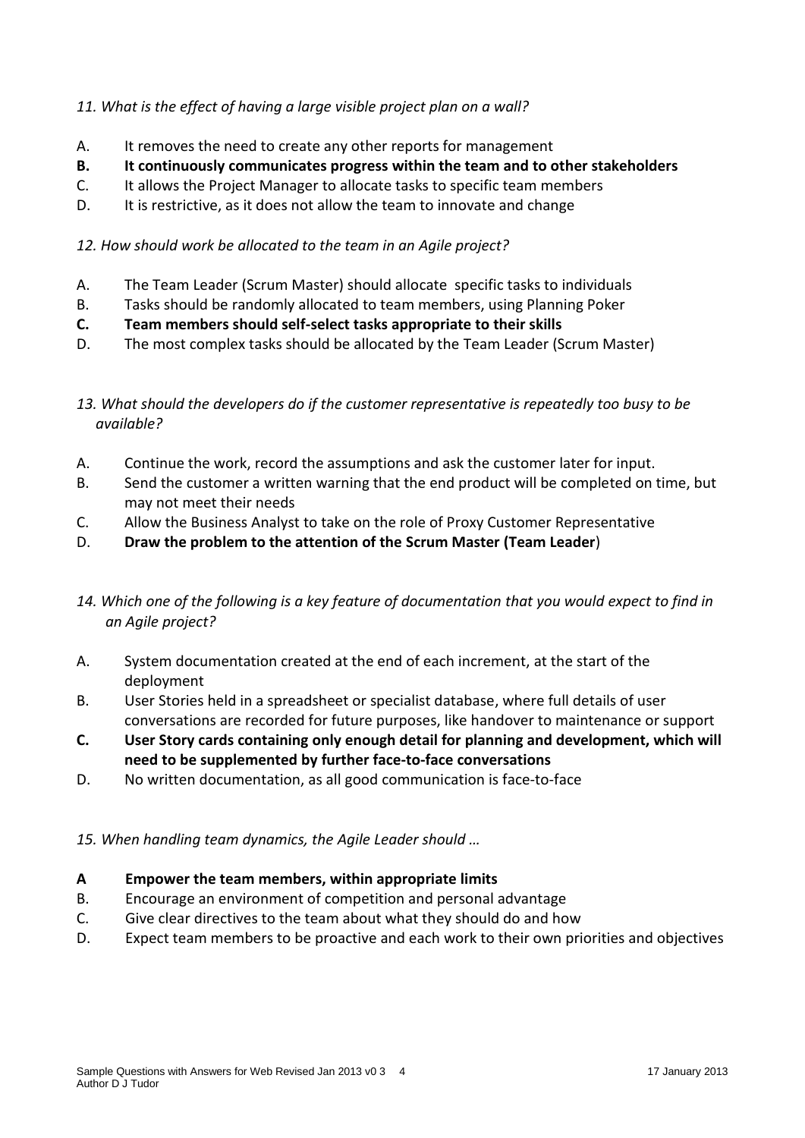## *11. What is the effect of having a large visible project plan on a wall?*

- A. It removes the need to create any other reports for management
- **B. It continuously communicates progress within the team and to other stakeholders**
- C. It allows the Project Manager to allocate tasks to specific team members
- D. It is restrictive, as it does not allow the team to innovate and change

#### *12. How should work be allocated to the team in an Agile project?*

- A. The Team Leader (Scrum Master) should allocate specific tasks to individuals
- B. Tasks should be randomly allocated to team members, using Planning Poker
- **C. Team members should self-select tasks appropriate to their skills**
- D. The most complex tasks should be allocated by the Team Leader (Scrum Master)

## *13. What should the developers do if the customer representative is repeatedly too busy to be available?*

- A. Continue the work, record the assumptions and ask the customer later for input.
- B. Send the customer a written warning that the end product will be completed on time, but may not meet their needs
- C. Allow the Business Analyst to take on the role of Proxy Customer Representative
- D. **Draw the problem to the attention of the Scrum Master (Team Leader**)

## *14. Which one of the following is a key feature of documentation that you would expect to find in an Agile project?*

- A. System documentation created at the end of each increment, at the start of the deployment
- B. User Stories held in a spreadsheet or specialist database, where full details of user conversations are recorded for future purposes, like handover to maintenance or support
- **C. User Story cards containing only enough detail for planning and development, which will need to be supplemented by further face-to-face conversations**
- D. No written documentation, as all good communication is face-to-face

#### *15. When handling team dynamics, the Agile Leader should …*

#### **A Empower the team members, within appropriate limits**

- B. Encourage an environment of competition and personal advantage
- C. Give clear directives to the team about what they should do and how
- D. Expect team members to be proactive and each work to their own priorities and objectives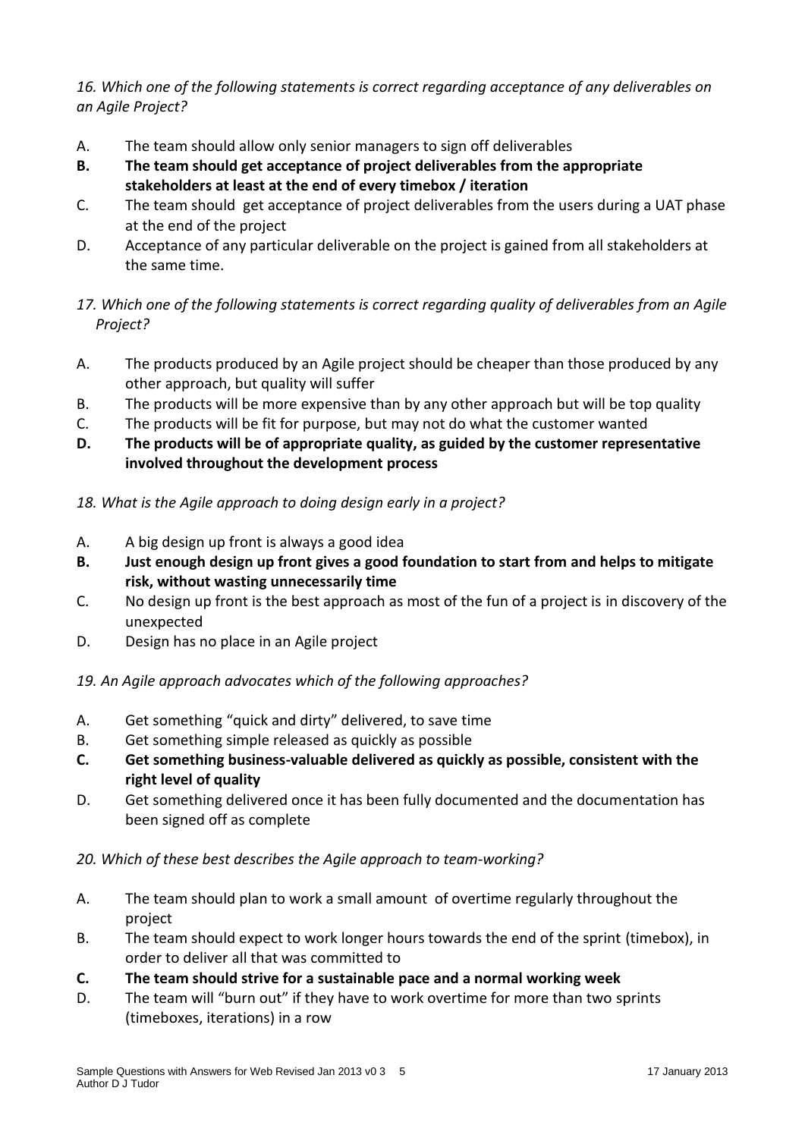*16. Which one of the following statements is correct regarding acceptance of any deliverables on an Agile Project?*

- A. The team should allow only senior managers to sign off deliverables
- **B. The team should get acceptance of project deliverables from the appropriate stakeholders at least at the end of every timebox / iteration**
- C. The team should get acceptance of project deliverables from the users during a UAT phase at the end of the project
- D. Acceptance of any particular deliverable on the project is gained from all stakeholders at the same time.
- *17. Which one of the following statements is correct regarding quality of deliverables from an Agile Project?*
- A. The products produced by an Agile project should be cheaper than those produced by any other approach, but quality will suffer
- B. The products will be more expensive than by any other approach but will be top quality
- C. The products will be fit for purpose, but may not do what the customer wanted
- **D. The products will be of appropriate quality, as guided by the customer representative involved throughout the development process**
- *18. What is the Agile approach to doing design early in a project?*
- A. A big design up front is always a good idea
- **B. Just enough design up front gives a good foundation to start from and helps to mitigate risk, without wasting unnecessarily time**
- C. No design up front is the best approach as most of the fun of a project is in discovery of the unexpected
- D. Design has no place in an Agile project
- *19. An Agile approach advocates which of the following approaches?*
- A. Get something "quick and dirty" delivered, to save time
- B. Get something simple released as quickly as possible
- **C. Get something business-valuable delivered as quickly as possible, consistent with the right level of quality**
- D. Get something delivered once it has been fully documented and the documentation has been signed off as complete
- *20. Which of these best describes the Agile approach to team-working?*
- A. The team should plan to work a small amount of overtime regularly throughout the project
- B. The team should expect to work longer hours towards the end of the sprint (timebox), in order to deliver all that was committed to
- **C. The team should strive for a sustainable pace and a normal working week**
- D. The team will "burn out" if they have to work overtime for more than two sprints (timeboxes, iterations) in a row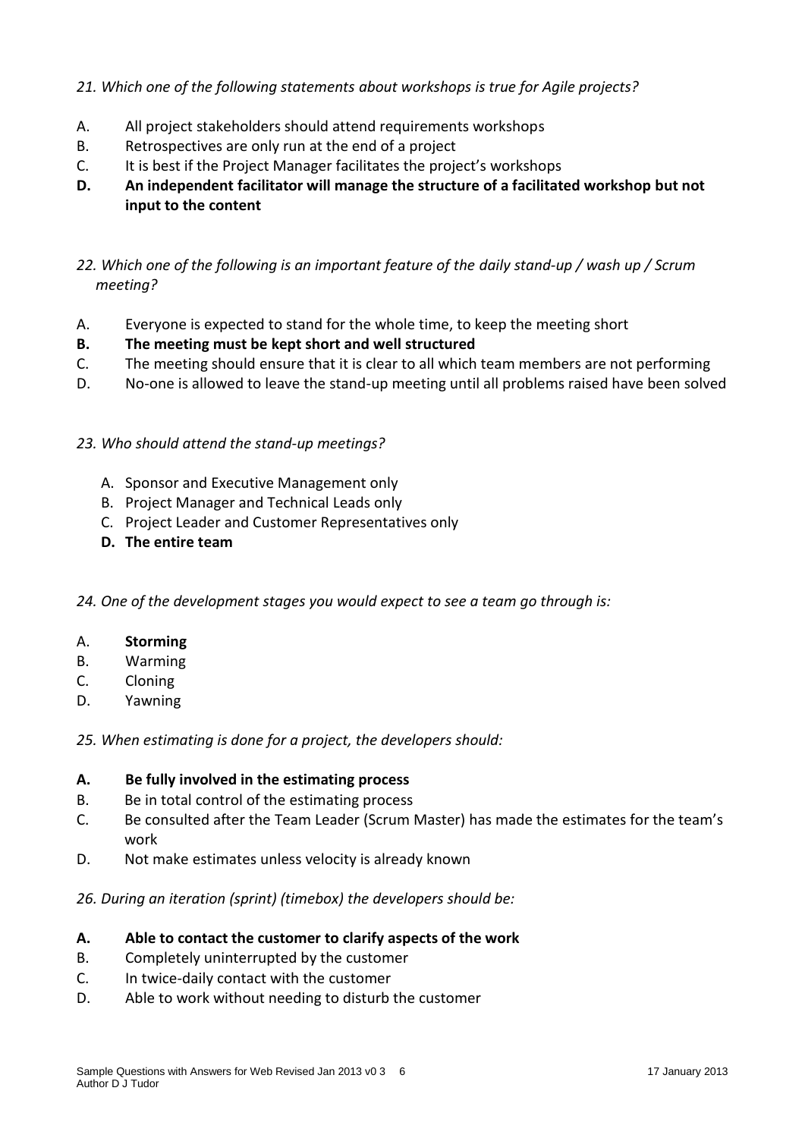## *21. Which one of the following statements about workshops is true for Agile projects?*

- A. All project stakeholders should attend requirements workshops
- B. Retrospectives are only run at the end of a project
- C. It is best if the Project Manager facilitates the project's workshops
- **D. An independent facilitator will manage the structure of a facilitated workshop but not input to the content**

## *22. Which one of the following is an important feature of the daily stand-up / wash up / Scrum meeting?*

- A. Everyone is expected to stand for the whole time, to keep the meeting short
- **B. The meeting must be kept short and well structured**
- C. The meeting should ensure that it is clear to all which team members are not performing
- D. No-one is allowed to leave the stand-up meeting until all problems raised have been solved

## *23. Who should attend the stand-up meetings?*

- A. Sponsor and Executive Management only
- B. Project Manager and Technical Leads only
- C. Project Leader and Customer Representatives only
- **D. The entire team**
- *24. One of the development stages you would expect to see a team go through is:*
- A. **Storming**
- B. Warming
- C. Cloning
- D. Yawning

*25. When estimating is done for a project, the developers should:*

#### **A. Be fully involved in the estimating process**

- B. Be in total control of the estimating process
- C. Be consulted after the Team Leader (Scrum Master) has made the estimates for the team's work
- D. Not make estimates unless velocity is already known

*26. During an iteration (sprint) (timebox) the developers should be:*

#### **A. Able to contact the customer to clarify aspects of the work**

- B. Completely uninterrupted by the customer
- C. In twice-daily contact with the customer
- D. Able to work without needing to disturb the customer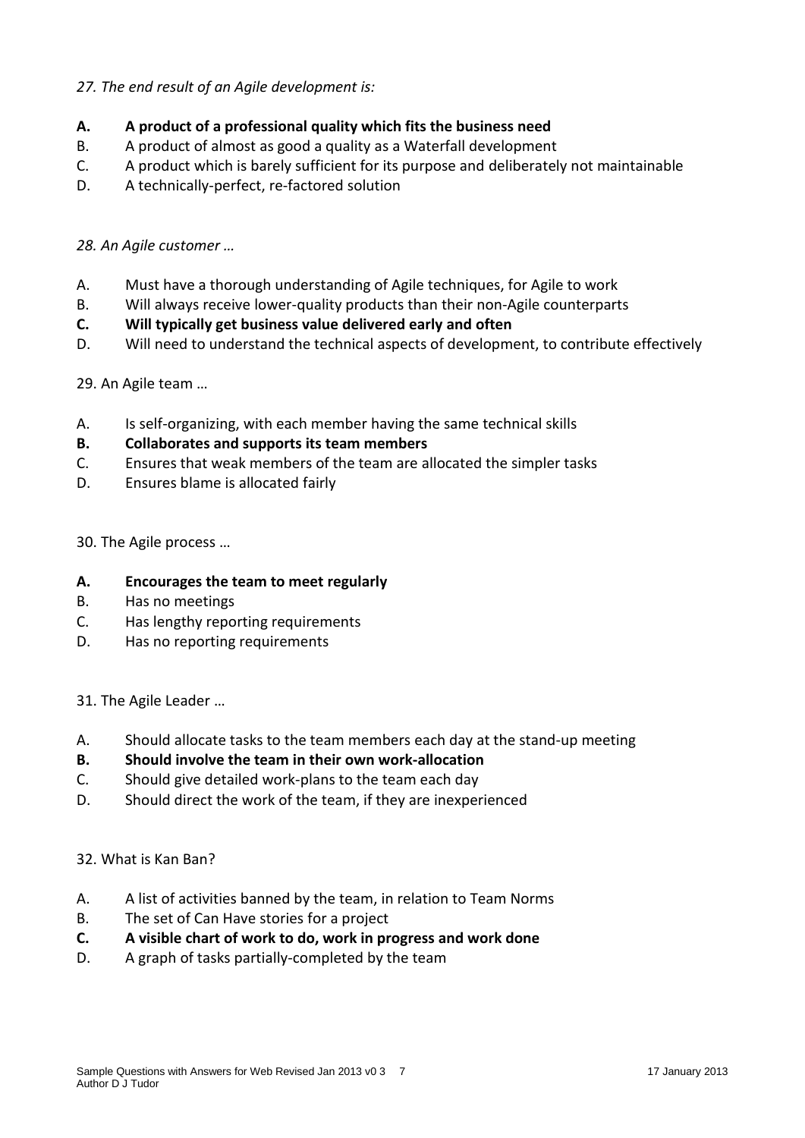## *27. The end result of an Agile development is:*

## **A. A product of a professional quality which fits the business need**

- B. A product of almost as good a quality as a Waterfall development
- C. A product which is barely sufficient for its purpose and deliberately not maintainable
- D. A technically-perfect, re-factored solution

#### *28. An Agile customer …*

- A. Must have a thorough understanding of Agile techniques, for Agile to work
- B. Will always receive lower-quality products than their non-Agile counterparts
- **C. Will typically get business value delivered early and often**
- D. Will need to understand the technical aspects of development, to contribute effectively

29. An Agile team …

- A. Is self-organizing, with each member having the same technical skills
- **B. Collaborates and supports its team members**
- C. Ensures that weak members of the team are allocated the simpler tasks
- D. Ensures blame is allocated fairly

30. The Agile process …

#### **A. Encourages the team to meet regularly**

- B. Has no meetings
- C. Has lengthy reporting requirements
- D. Has no reporting requirements

31. The Agile Leader …

- A. Should allocate tasks to the team members each day at the stand-up meeting
- **B. Should involve the team in their own work-allocation**
- C. Should give detailed work-plans to the team each day
- D. Should direct the work of the team, if they are inexperienced

#### 32. What is Kan Ban?

- A. A list of activities banned by the team, in relation to Team Norms
- B. The set of Can Have stories for a project
- **C. A visible chart of work to do, work in progress and work done**
- D. A graph of tasks partially-completed by the team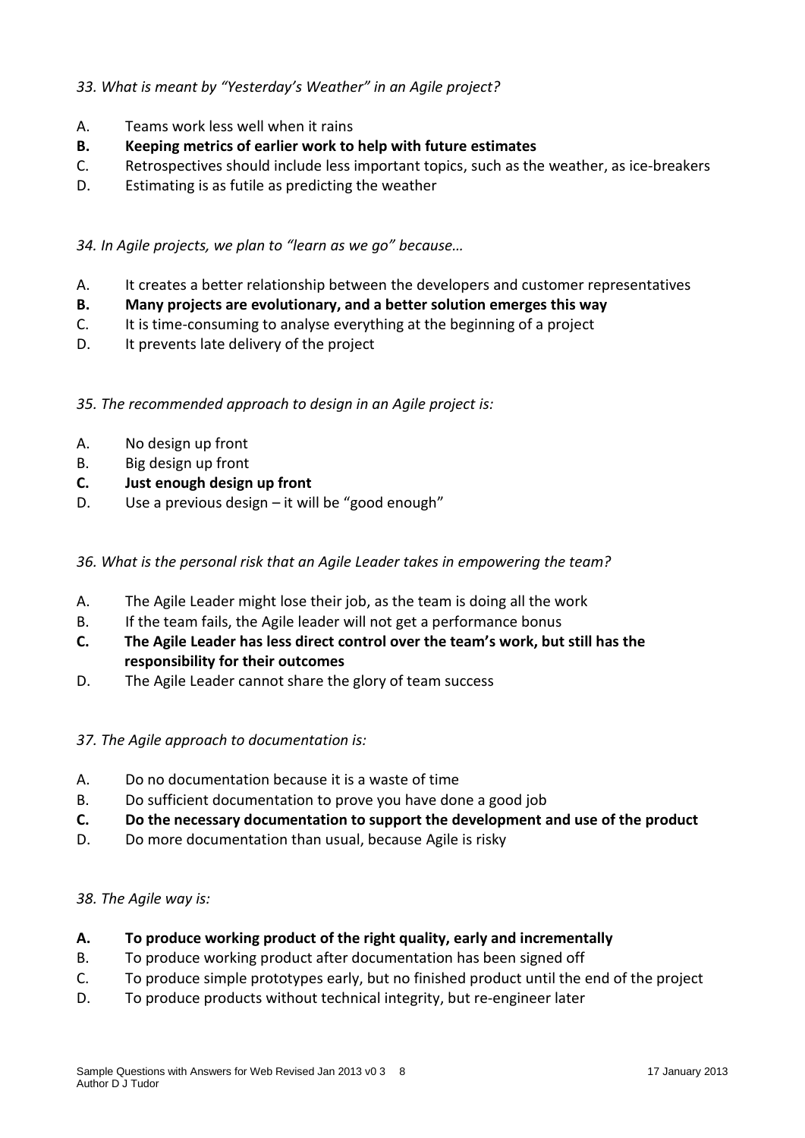## *33. What is meant by "Yesterday's Weather" in an Agile project?*

- A. Teams work less well when it rains
- **B. Keeping metrics of earlier work to help with future estimates**
- C. Retrospectives should include less important topics, such as the weather, as ice-breakers
- D. Estimating is as futile as predicting the weather

*34. In Agile projects, we plan to "learn as we go" because…*

- A. It creates a better relationship between the developers and customer representatives
- **B. Many projects are evolutionary, and a better solution emerges this way**
- C. It is time-consuming to analyse everything at the beginning of a project
- D. It prevents late delivery of the project

*35. The recommended approach to design in an Agile project is:*

- A. No design up front
- B. Big design up front
- **C. Just enough design up front**
- D. Use a previous design it will be "good enough"

#### *36. What is the personal risk that an Agile Leader takes in empowering the team?*

- A. The Agile Leader might lose their job, as the team is doing all the work
- B. If the team fails, the Agile leader will not get a performance bonus
- **C. The Agile Leader has less direct control over the team's work, but still has the responsibility for their outcomes**
- D. The Agile Leader cannot share the glory of team success

#### *37. The Agile approach to documentation is:*

- A. Do no documentation because it is a waste of time
- B. Do sufficient documentation to prove you have done a good job
- **C. Do the necessary documentation to support the development and use of the product**
- D. Do more documentation than usual, because Agile is risky

#### *38. The Agile way is:*

- **A. To produce working product of the right quality, early and incrementally**
- B. To produce working product after documentation has been signed off
- C. To produce simple prototypes early, but no finished product until the end of the project
- D. To produce products without technical integrity, but re-engineer later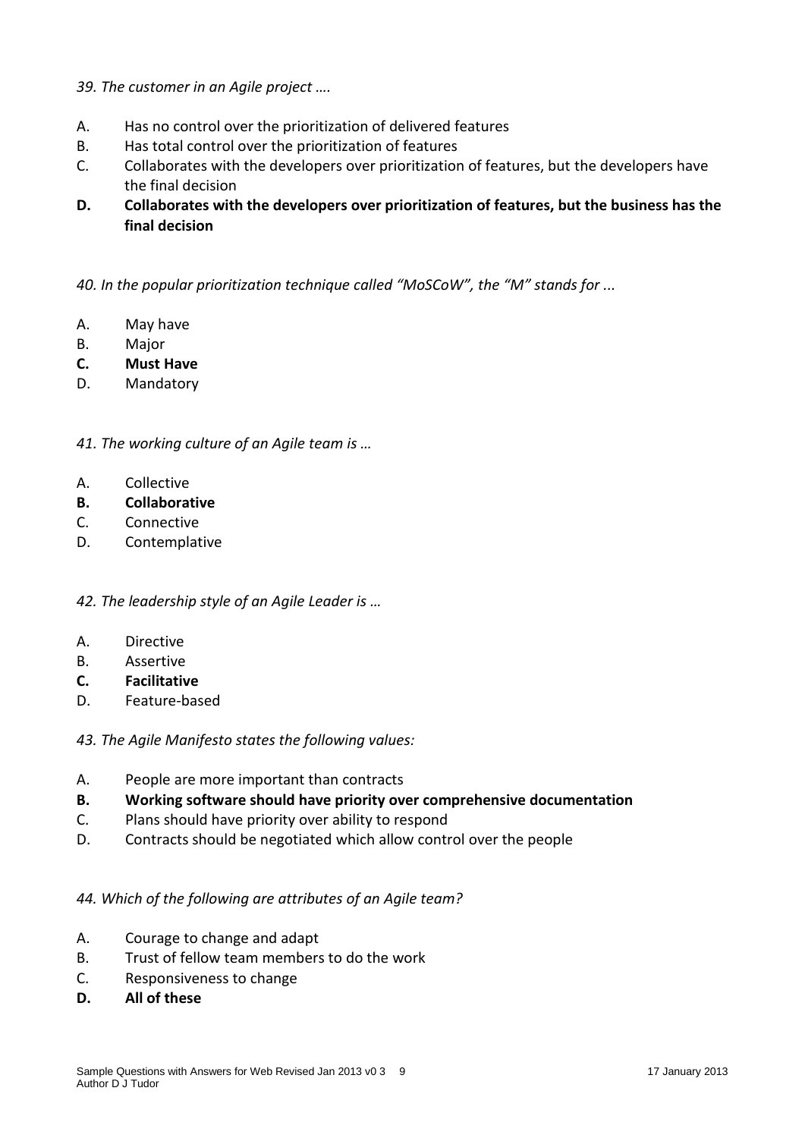- *39. The customer in an Agile project ….*
- A. Has no control over the prioritization of delivered features
- B. Has total control over the prioritization of features
- C. Collaborates with the developers over prioritization of features, but the developers have the final decision
- **D. Collaborates with the developers over prioritization of features, but the business has the final decision**

*40. In the popular prioritization technique called "MoSCoW", the "M" stands for ...*

- A. May have
- B. Major
- **C. Must Have**
- D. Mandatory

*41. The working culture of an Agile team is …*

- A. Collective
- **B. Collaborative**
- C. Connective
- D. Contemplative

#### *42. The leadership style of an Agile Leader is …*

- A. Directive
- B. Assertive
- **C. Facilitative**
- D. Feature-based

*43. The Agile Manifesto states the following values:*

- A. People are more important than contracts
- **B. Working software should have priority over comprehensive documentation**
- C. Plans should have priority over ability to respond
- D. Contracts should be negotiated which allow control over the people

#### *44. Which of the following are attributes of an Agile team?*

- A. Courage to change and adapt
- B. Trust of fellow team members to do the work
- C. Responsiveness to change
- **D. All of these**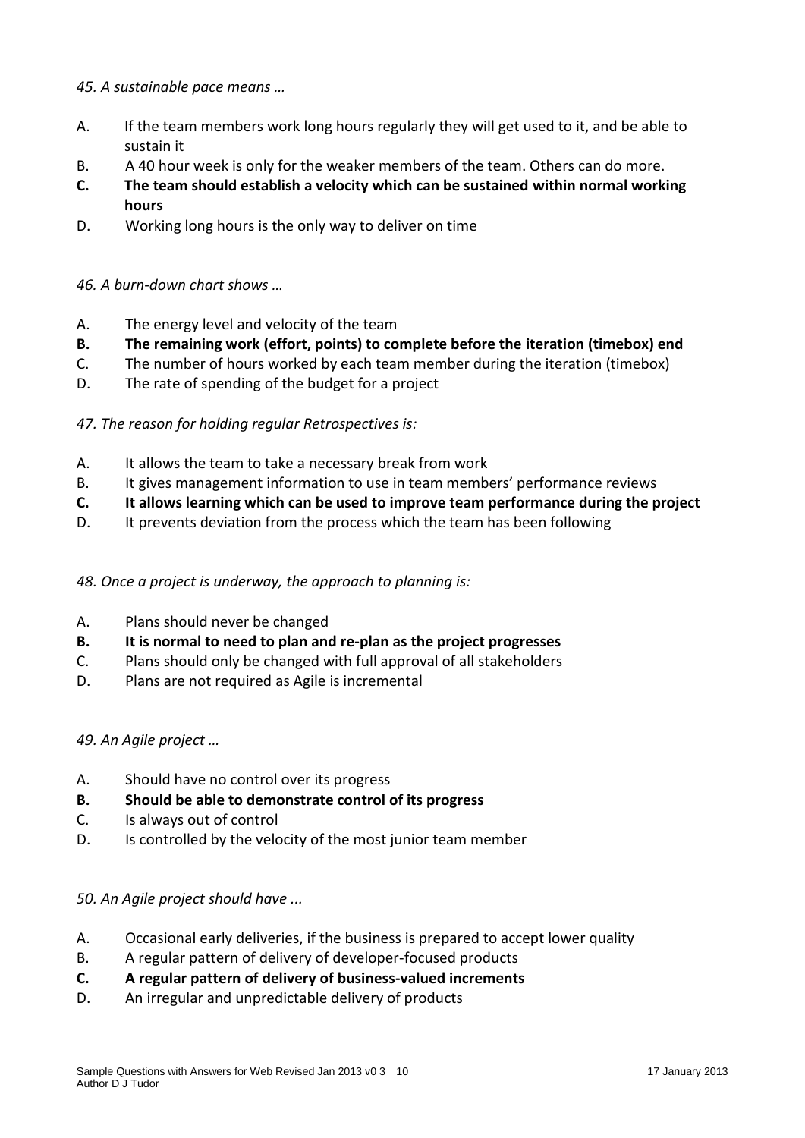## *45. A sustainable pace means …*

- A. If the team members work long hours regularly they will get used to it, and be able to sustain it
- B. A 40 hour week is only for the weaker members of the team. Others can do more.
- **C. The team should establish a velocity which can be sustained within normal working hours**
- D. Working long hours is the only way to deliver on time

## *46. A burn-down chart shows …*

- A. The energy level and velocity of the team
- **B. The remaining work (effort, points) to complete before the iteration (timebox) end**
- C. The number of hours worked by each team member during the iteration (timebox)
- D. The rate of spending of the budget for a project

## *47. The reason for holding regular Retrospectives is:*

- A. It allows the team to take a necessary break from work
- B. It gives management information to use in team members' performance reviews
- **C. It allows learning which can be used to improve team performance during the project**
- D. It prevents deviation from the process which the team has been following

#### *48. Once a project is underway, the approach to planning is:*

- A. Plans should never be changed
- **B. It is normal to need to plan and re-plan as the project progresses**
- C. Plans should only be changed with full approval of all stakeholders
- D. Plans are not required as Agile is incremental

#### *49. An Agile project …*

- A. Should have no control over its progress
- **B. Should be able to demonstrate control of its progress**
- C. Is always out of control
- D. Is controlled by the velocity of the most junior team member

#### *50. An Agile project should have ...*

- A. Occasional early deliveries, if the business is prepared to accept lower quality
- B. A regular pattern of delivery of developer-focused products
- **C. A regular pattern of delivery of business-valued increments**
- D. An irregular and unpredictable delivery of products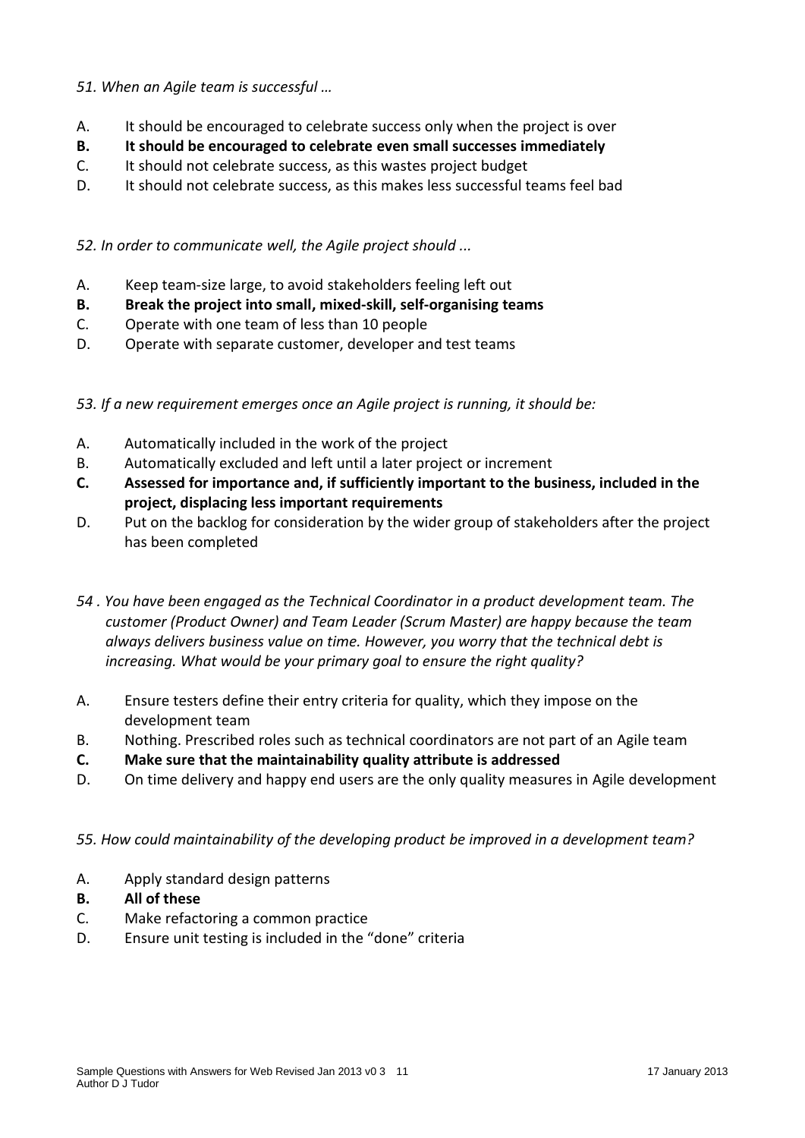## *51. When an Agile team is successful …*

- A. It should be encouraged to celebrate success only when the project is over
- **B. It should be encouraged to celebrate even small successes immediately**
- C. It should not celebrate success, as this wastes project budget
- D. It should not celebrate success, as this makes less successful teams feel bad

### *52. In order to communicate well, the Agile project should ...*

- A. Keep team-size large, to avoid stakeholders feeling left out
- **B. Break the project into small, mixed-skill, self-organising teams**
- C. Operate with one team of less than 10 people
- D. Operate with separate customer, developer and test teams
- *53. If a new requirement emerges once an Agile project is running, it should be:*
- A. Automatically included in the work of the project
- B. Automatically excluded and left until a later project or increment
- **C. Assessed for importance and, if sufficiently important to the business, included in the project, displacing less important requirements**
- D. Put on the backlog for consideration by the wider group of stakeholders after the project has been completed
- *54 . You have been engaged as the Technical Coordinator in a product development team. The customer (Product Owner) and Team Leader (Scrum Master) are happy because the team always delivers business value on time. However, you worry that the technical debt is increasing. What would be your primary goal to ensure the right quality?*
- A. Ensure testers define their entry criteria for quality, which they impose on the development team
- B. Nothing. Prescribed roles such as technical coordinators are not part of an Agile team
- **C. Make sure that the maintainability quality attribute is addressed**
- D. On time delivery and happy end users are the only quality measures in Agile development

#### *55. How could maintainability of the developing product be improved in a development team?*

- A. Apply standard design patterns
- **B. All of these**
- C. Make refactoring a common practice
- D. Ensure unit testing is included in the "done" criteria